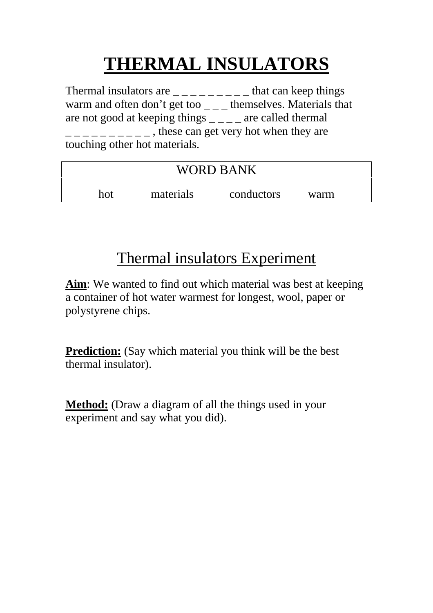## **THERMAL INSULATORS**

Thermal insulators are  $\frac{1}{2}$   $\frac{1}{2}$  =  $\frac{1}{2}$  =  $\frac{1}{2}$  =  $\frac{1}{2}$  =  $\frac{1}{2}$  that can keep things warm and often don't get too  $\_\_$  themselves. Materials that are not good at keeping things  $\angle$   $\angle$   $\angle$   $\angle$  are called thermal  $\frac{1}{2}$   $\frac{1}{2}$   $\frac{1}{2}$   $\frac{1}{2}$   $\frac{1}{2}$   $\frac{1}{2}$   $\frac{1}{2}$   $\frac{1}{2}$  these can get very hot when they are touching other hot materials.

| <b>WORD BANK</b> |           |            |      |  |  |  |  |
|------------------|-----------|------------|------|--|--|--|--|
| hot              | materials | conductors | warm |  |  |  |  |

## Thermal insulators Experiment

**Aim**: We wanted to find out which material was best at keeping a container of hot water warmest for longest, wool, paper or polystyrene chips.

**Prediction:** (Say which material you think will be the best thermal insulator).

**Method:** (Draw a diagram of all the things used in your experiment and say what you did).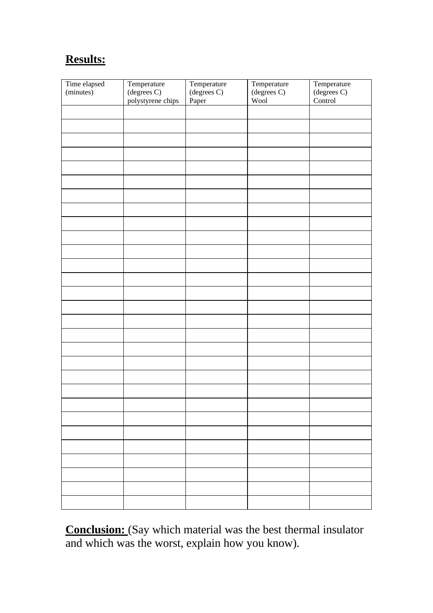## **Results:**

| Time elapsed<br>(minutes) | Temperature                      | Temperature<br>(degrees C) | Temperature<br>$(\text{degrees C})$ | Temperature<br>$(\text{degrees C})$ |
|---------------------------|----------------------------------|----------------------------|-------------------------------------|-------------------------------------|
|                           | (degrees C)<br>polystyrene chips | Paper                      | Wool                                | Control                             |
|                           |                                  |                            |                                     |                                     |
|                           |                                  |                            |                                     |                                     |
|                           |                                  |                            |                                     |                                     |
|                           |                                  |                            |                                     |                                     |
|                           |                                  |                            |                                     |                                     |
|                           |                                  |                            |                                     |                                     |
|                           |                                  |                            |                                     |                                     |
|                           |                                  |                            |                                     |                                     |
|                           |                                  |                            |                                     |                                     |
|                           |                                  |                            |                                     |                                     |
|                           |                                  |                            |                                     |                                     |
|                           |                                  |                            |                                     |                                     |
|                           |                                  |                            |                                     |                                     |
|                           |                                  |                            |                                     |                                     |
|                           |                                  |                            |                                     |                                     |
|                           |                                  |                            |                                     |                                     |
|                           |                                  |                            |                                     |                                     |
|                           |                                  |                            |                                     |                                     |
|                           |                                  |                            |                                     |                                     |
|                           |                                  |                            |                                     |                                     |
|                           |                                  |                            |                                     |                                     |
|                           |                                  |                            |                                     |                                     |
|                           |                                  |                            |                                     |                                     |
|                           |                                  |                            |                                     |                                     |
|                           |                                  |                            |                                     |                                     |
|                           |                                  |                            |                                     |                                     |
|                           |                                  |                            |                                     |                                     |

**Conclusion:** (Say which material was the best thermal insulator and which was the worst, explain how you know).